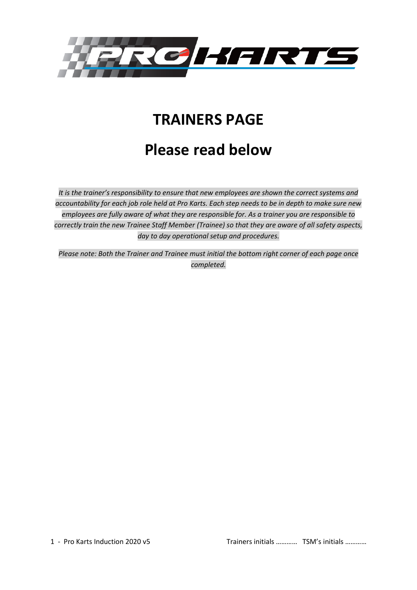

# **TRAINERS PAGE**

# **Please read below**

*It is the trainer's responsibility to ensure that new employees are shown the correct systems and accountability for each job role held at Pro Karts. Each step needs to be in depth to make sure new employees are fully aware of what they are responsible for. As a trainer you are responsible to correctly train the new Trainee Staff Member (Trainee) so that they are aware of all safety aspects, day to day operational setup and procedures.*

*Please note: Both the Trainer and Trainee must initial the bottom right corner of each page once completed.*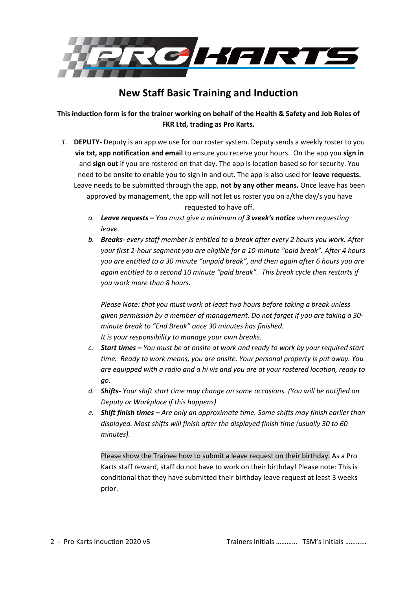

# **New Staff Basic Training and Induction**

**This induction form is for the trainer working on behalf of the Health & Safety and Job Roles of FKR Ltd, trading as Pro Karts.**

*1.* **DEPUTY-** Deputy is an app we use for our roster system. Deputy sends a weekly roster to you **via txt, app notification and email** to ensure you receive your hours. On the app you **sign in** and **sign out** if you are rostered on that day. The app is location based so for security. You need to be onsite to enable you to sign in and out. The app is also used for **leave requests.**  Leave needs to be submitted through the app, **not by any other means.** Once leave has been approved by management, the app will not let us roster you on a/the day/s you have

requested to have off.

- *a. Leave requests – You must give a minimum of 3 week's notice when requesting leave.*
- *b. Breaks- every staff member is entitled to a break after every 2 hours you work. After your first 2-hour segment you are eligible for a 10-minute "paid break". After 4 hours you are entitled to a 30 minute "unpaid break", and then again after 6 hours you are again entitled to a second 10 minute "paid break". This break cycle then restarts if you work more than 8 hours.*

*Please Note: that you must work at least two hours before taking a break unless given permission by a member of management. Do not forget if you are taking a 30 minute break to "End Break" once 30 minutes has finished. It is your responsibility to manage your own breaks.*

- *c. Start times – You must be at onsite at work and ready to work by your required start time. Ready to work means, you are onsite. Your personal property is put away. You are equipped with a radio and a hi vis and you are at your rostered location, ready to go.*
- *d. Shifts- Your shift start time may change on some occasions. (You will be notified on Deputy or Workplace if this happens)*
- *e. Shift finish times – Are only an approximate time. Some shifts may finish earlier than displayed. Most shifts will finish after the displayed finish time (usually 30 to 60 minutes).*

Please show the Trainee how to submit a leave request on their birthday. As a Pro Karts staff reward, staff do not have to work on their birthday! Please note: This is conditional that they have submitted their birthday leave request at least 3 weeks prior.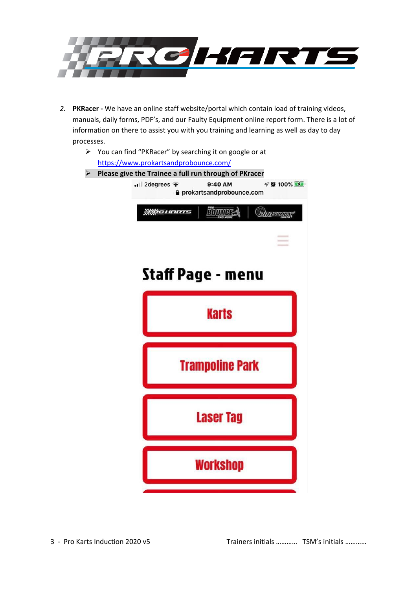

- *2.* **PKRacer -** We have an online staff website/portal which contain load of training videos, manuals, daily forms, PDF's, and our Faulty Equipment online report form. There is a lot of information on there to assist you with you training and learning as well as day to day processes.
	- ➢ You can find "PKRacer" by searching it on google or at <https://www.prokartsandprobounce.com/> ➢ **Please give the Trainee a full run through of PKracer**9:40 AM  $\n 700\%$  $\blacksquare$  2 degrees  $\widehat{\mathcal{P}}$ **≙** prokartsandprobounce.com **WROHARTS BOUNDES** PROGUATION **Staff Page - menu Karts Trampoline Park Laser Tag Workshop**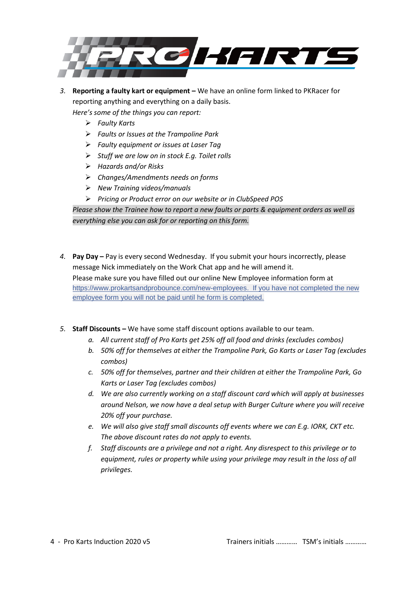

*3.* **Reporting a faulty kart or equipment –** We have an online form linked to PKRacer for reporting anything and everything on a daily basis.

*Here's some of the things you can report:*

- ➢ *Faulty Karts*
- ➢ *Faults or Issues at the Trampoline Park*
- ➢ *Faulty equipment or issues at Laser Tag*
- ➢ *Stuff we are low on in stock E.g. Toilet rolls*
- ➢ *Hazards and/or Risks*
- ➢ *Changes/Amendments needs on forms*
- ➢ *New Training videos/manuals*
- ➢ *Pricing or Product error on our website or in ClubSpeed POS*

*Please show the Trainee how to report a new faults or parts & equipment orders as well as everything else you can ask for or reporting on this form.*

- *4.* **Pay Day –** Pay is every second Wednesday. If you submit your hours incorrectly, please message Nick immediately on the Work Chat app and he will amend it. Please make sure you have filled out our online New Employee information form at [https://www.prokartsandprobounce.com/new-employees.](https://www.prokartsandprobounce.com/new-employees?fbclid=IwAR0YsO6weBmAu80iOc8Rk8M5rHfnLVaWHTc7Q3nt24WwNZu4imZ6dL16mXE) If you have not completed the new employee form you will not be paid until he form is completed.
- *5.* **Staff Discounts –** We have some staff discount options available to our team.
	- *a. All current staff of Pro Karts get 25% off all food and drinks (excludes combos)*
	- *b. 50% off for themselves at either the Trampoline Park, Go Karts or Laser Tag (excludes combos)*
	- *c. 50% off for themselves, partner and their children at either the Trampoline Park, Go Karts or Laser Tag (excludes combos)*
	- *d. We are also currently working on a staff discount card which will apply at businesses around Nelson, we now have a deal setup with Burger Culture where you will receive 20% off your purchase.*
	- *e. We will also give staff small discounts off events where we can E.g. IORK, CKT etc. The above discount rates do not apply to events.*
	- *f. Staff discounts are a privilege and not a right. Any disrespect to this privilege or to equipment, rules or property while using your privilege may result in the loss of all privileges.*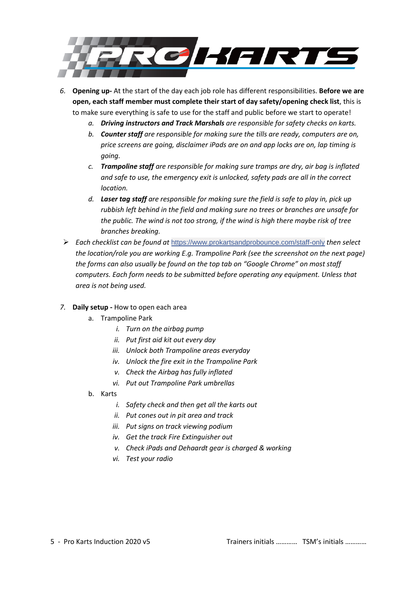

*6.* **Opening up-** At the start of the day each job role has different responsibilities. **Before we are open, each staff member must complete their start of day safety/opening check list**, this is to make sure everything is safe to use for the staff and public before we start to operate!

- *a. Driving instructors and Track Marshals are responsible for safety checks on karts.*
- *b. Counter staff are responsible for making sure the tills are ready, computers are on, price screens are going, disclaimer iPads are on and app locks are on, lap timing is going.*
- *c. Trampoline staff are responsible for making sure tramps are dry, air bag is inflated and safe to use, the emergency exit is unlocked, safety pads are all in the correct location.*
- *d. Laser tag staff are responsible for making sure the field is safe to play in, pick up rubbish left behind in the field and making sure no trees or branches are unsafe for the public. The wind is not too strong, if the wind is high there maybe risk of tree branches breaking.*
- ➢ *Each checklist can be found at* [https://www.prokartsandprobounce.com/staff-only](https://www.prokartsandprobounce.com/staff-only?fbclid=IwAR0Xd0k6X93ErtjKdUuFOX3stWLXhIyAMr9CYc_baej9gtb9m_pwpbB-ypE) *[then select](https://www.prokartsandprobounce.com/staff-only%20then%20select%20the%20location/role%20you%20are%20working%20E.g)  [the location/role you are working E.g.](https://www.prokartsandprobounce.com/staff-only%20then%20select%20the%20location/role%20you%20are%20working%20E.g) Trampoline Park (see the screenshot on the next page) the forms can also usually be found on the top tab on "Google Chrome" on most staff computers. Each form needs to be submitted before operating any equipment. Unless that area is not being used.*
- *7.* **Daily setup -** How to open each area
	- a. Trampoline Park
		- *i. Turn on the airbag pump*
		- *ii. Put first aid kit out every day*
		- *iii. Unlock both Trampoline areas everyday*
		- *iv. Unlock the fire exit in the Trampoline Park*
		- *v. Check the Airbag has fully inflated*
		- *vi. Put out Trampoline Park umbrellas*
	- b. Karts
		- *i. Safety check and then get all the karts out*
		- *ii. Put cones out in pit area and track*
		- *iii. Put signs on track viewing podium*
		- *iv. Get the track Fire Extinguisher out*
		- *v. Check iPads and Dehaardt gear is charged & working*
		- *vi. Test your radio*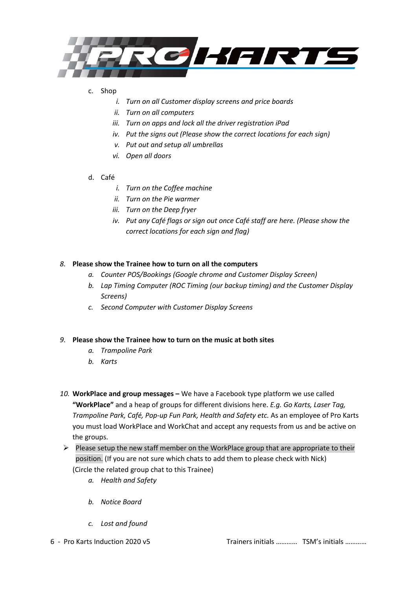

## c. Shop

- *i. Turn on all Customer display screens and price boards*
- *ii. Turn on all computers*
- *iii. Turn on apps and lock all the driver registration iPad*
- *iv. Put the signs out (Please show the correct locations for each sign)*
- *v. Put out and setup all umbrellas*
- *vi. Open all doors*

# d. Café

- *i. Turn on the Coffee machine*
- *ii. Turn on the Pie warmer*
- *iii. Turn on the Deep fryer*
- *iv. Put any Café flags or sign out once Café staff are here. (Please show the correct locations for each sign and flag)*

# *8.* **Please show the Trainee how to turn on all the computers**

- *a. Counter POS/Bookings (Google chrome and Customer Display Screen)*
- *b. Lap Timing Computer (ROC Timing (our backup timing) and the Customer Display Screens)*
- *c. Second Computer with Customer Display Screens*

### *9.* **Please show the Trainee how to turn on the music at both sites**

- *a. Trampoline Park*
- *b. Karts*
- *10.* **WorkPlace and group messages –** We have a Facebook type platform we use called **"WorkPlace"** and a heap of groups for different divisions here. *E.g. Go Karts, Laser Tag, Trampoline Park, Café, Pop-up Fun Park, Health and Safety etc.* As an employee of Pro Karts you must load WorkPlace and WorkChat and accept any requests from us and be active on the groups.
- ➢ Please setup the new staff member on the WorkPlace group that are appropriate to their position. (If you are not sure which chats to add them to please check with Nick) (Circle the related group chat to this Trainee)
	- *a. Health and Safety*
	- *b. Notice Board*
	- *c. Lost and found*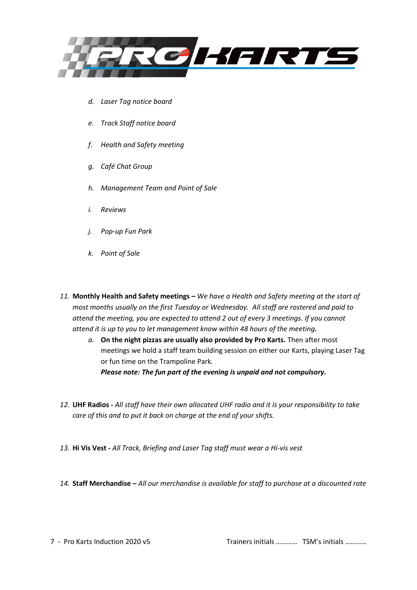

- *d. Laser Tag notice board*
- *e. Track Staff notice board*
- *f. Health and Safety meeting*
- *g. Café Chat Group*
- *h. Management Team and Point of Sale*
- *i. Reviews*
- *j. Pop-up Fun Park*
- *k. Point of Sale*
- *11.* **Monthly Health and Safety meetings –** *We have a Health and Safety meeting at the start of most months usually on the first Tuesday or Wednesday. All staff are rostered and paid to attend the meeting, you are expected to attend 2 out of every 3 meetings. If you cannot attend it is up to you to let management know within 48 hours of the meeting.*
	- *a.* **On the night pizzas are usually also provided by Pro Karts.** Then after most meetings we hold a staff team building session on either our Karts, playing Laser Tag or fun time on the Trampoline Park*. Please note: The fun part of the evening is unpaid and not compulsory.*
- *12.* **UHF Radios -** *All staff have their own allocated UHF radio and it is your responsibility to take care of this and to put it back on charge at the end of your shifts.*
- *13.* **Hi Vis Vest -** *All Track, Briefing and Laser Tag staff must wear a Hi-vis vest*
- *14.* **Staff Merchandise –** *All our merchandise is available for staff to purchase at a discounted rate*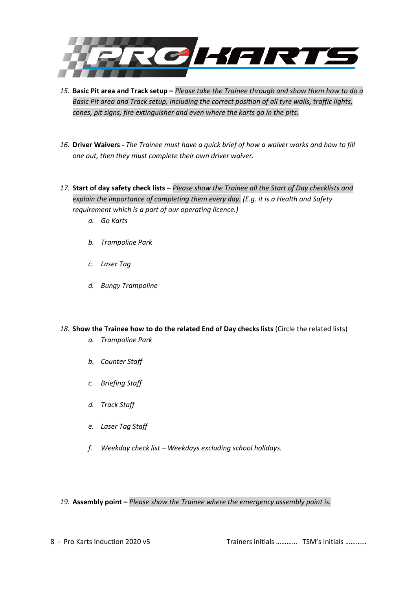

- *15.* **Basic Pit area and Track setup –** *Please take the Trainee through and show them how to do a Basic Pit area and Track setup, including the correct position of all tyre walls, traffic lights, cones, pit signs, fire extinguisher and even where the karts go in the pits.*
- *16.* **Driver Waivers -** *The Trainee must have a quick brief of how a waiver works and how to fill one out, then they must complete their own driver waiver.*
- *17.* **Start of day safety check lists –** *Please show the Trainee all the Start of Day checklists and explain the importance of completing them every day. (E.g. it is a Health and Safety requirement which is a part of our operating licence.)*
	- *a. Go Karts*
	- *b. Trampoline Park*
	- *c. Laser Tag*
	- *d. Bungy Trampoline*
- *18.* **Show the Trainee how to do the related End of Day checks lists** (Circle the related lists)
	- *a. Trampoline Park*
	- *b. Counter Staff*
	- *c. Briefing Staff*
	- *d. Track Staff*
	- *e. Laser Tag Staff*
	- *f. Weekday check list – Weekdays excluding school holidays.*

*19.* **Assembly point –** *Please show the Trainee where the emergency assembly point is.*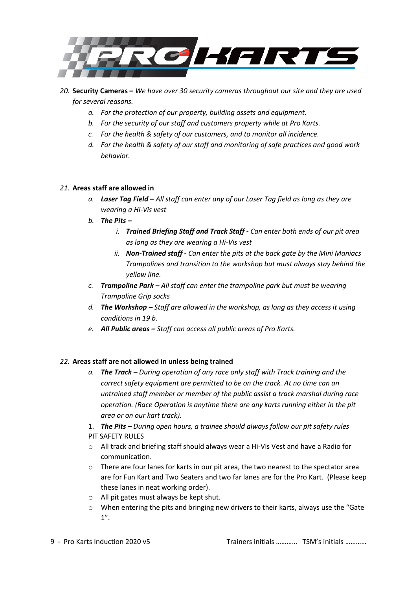

*20.* **Security Cameras –** *We have over 30 security cameras throughout our site and they are used for several reasons.*

- *a. For the protection of our property, building assets and equipment.*
- *b. For the security of our staff and customers property while at Pro Karts.*
- *c. For the health & safety of our customers, and to monitor all incidence.*
- *d. For the health & safety of our staff and monitoring of safe practices and good work behavior.*

#### *21.* **Areas staff are allowed in**

- *a. Laser Tag Field – All staff can enter any of our Laser Tag field as long as they are wearing a Hi-Vis vest*
- *b. The Pits –*
	- *i. Trained Briefing Staff and Track Staff - Can enter both ends of our pit area as long as they are wearing a Hi-Vis vest*
	- *ii. Non-Trained staff - Can enter the pits at the back gate by the Mini Maniacs Trampolines and transition to the workshop but must always stay behind the yellow line.*
- *c. Trampoline Park – All staff can enter the trampoline park but must be wearing Trampoline Grip socks*
- *d. The Workshop – Staff are allowed in the workshop, as long as they access it using conditions in 19 b.*
- *e. All Public areas – Staff can access all public areas of Pro Karts.*

#### *22.* **Areas staff are not allowed in unless being trained**

- *a. The Track – During operation of any race only staff with Track training and the correct safety equipment are permitted to be on the track. At no time can an untrained staff member or member of the public assist a track marshal during race operation. (Race Operation is anytime there are any karts running either in the pit area or on our kart track).*
- 1. *The Pits – During open hours, a trainee should always follow our pit safety rules* PIT SAFETY RULES
- o All track and briefing staff should always wear a Hi-Vis Vest and have a Radio for communication.
- o There are four lanes for karts in our pit area, the two nearest to the spectator area are for Fun Kart and Two Seaters and two far lanes are for the Pro Kart. (Please keep these lanes in neat working order).
- o All pit gates must always be kept shut.
- o When entering the pits and bringing new drivers to their karts, always use the "Gate 1".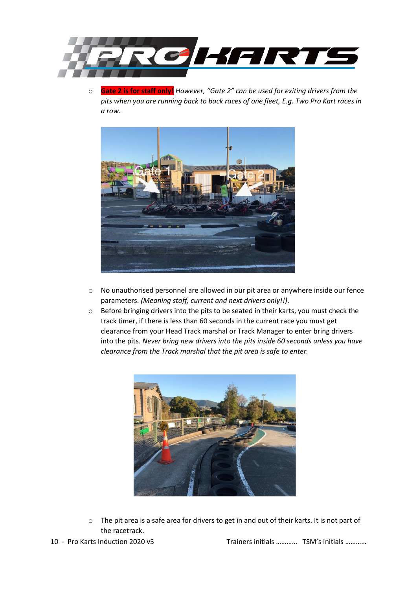

o **Gate 2 is for staff only!** *However, "Gate 2" can be used for exiting drivers from the pits when you are running back to back races of one fleet, E.g. Two Pro Kart races in a row.*



- o No unauthorised personnel are allowed in our pit area or anywhere inside our fence parameters. *(Meaning staff, current and next drivers only!!)*.
- o Before bringing drivers into the pits to be seated in their karts, you must check the track timer, if there is less than 60 seconds in the current race you must get clearance from your Head Track marshal or Track Manager to enter bring drivers into the pits. *Never bring new drivers into the pits inside 60 seconds unless you have clearance from the Track marshal that the pit area is safe to enter.*



o The pit area is a safe area for drivers to get in and out of their karts. It is not part of the racetrack.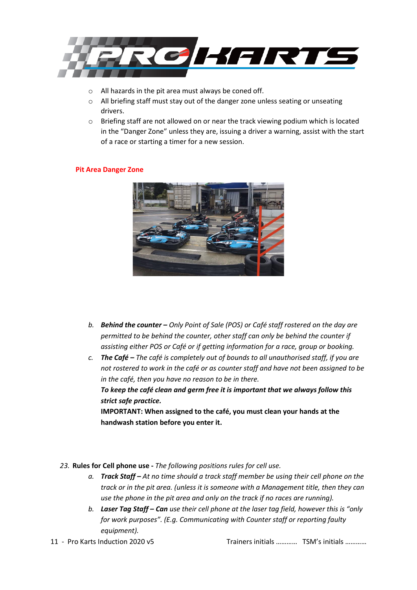

- o All hazards in the pit area must always be coned off.
- o All briefing staff must stay out of the danger zone unless seating or unseating drivers.
- o Briefing staff are not allowed on or near the track viewing podium which is located in the "Danger Zone" unless they are, issuing a driver a warning, assist with the start of a race or starting a timer for a new session.

#### **Pit Area Danger Zone**



- *b. Behind the counter – Only Point of Sale (POS) or Café staff rostered on the day are permitted to be behind the counter, other staff can only be behind the counter if assisting either POS or Café or if getting information for a race, group or booking.*
- *c. The Café – The café is completely out of bounds to all unauthorised staff, if you are not rostered to work in the café or as counter staff and have not been assigned to be in the café, then you have no reason to be in there. To keep the café clean and germ free it is important that we always follow this*

*strict safe practice.* **IMPORTANT: When assigned to the café, you must clean your hands at the handwash station before you enter it.** 

- *23.* **Rules for Cell phone use -** *The following positions rules for cell use.*
	- *a. Track Staff – At no time should a track staff member be using their cell phone on the track or in the pit area. (unless it is someone with a Management title, then they can use the phone in the pit area and only on the track if no races are running).*
	- *b. Laser Tag Staff – Can use their cell phone at the laser tag field, however this is "only for work purposes". (E.g. Communicating with Counter staff or reporting faulty equipment).*
-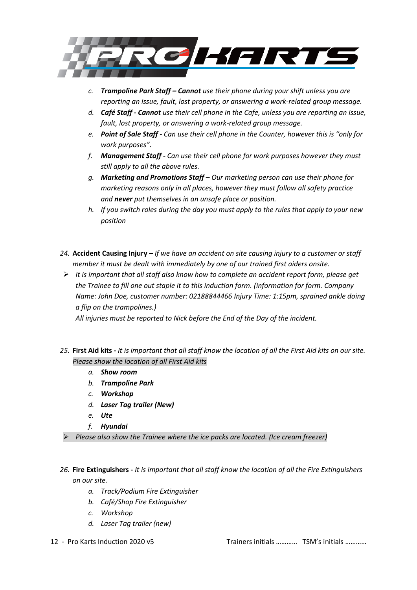

- *c. Trampoline Park Staff – Cannot use their phone during your shift unless you are reporting an issue, fault, lost property, or answering a work-related group message.*
- *d. Café Staff - Cannot use their cell phone in the Cafe, unless you are reporting an issue, fault, lost property, or answering a work-related group message.*
- *e. Point of Sale Staff - Can use their cell phone in the Counter, however this is "only for work purposes".*
- *f. Management Staff - Can use their cell phone for work purposes however they must still apply to all the above rules.*
- *g. Marketing and Promotions Staff – Our marketing person can use their phone for marketing reasons only in all places, however they must follow all safety practice and never put themselves in an unsafe place or position.*
- *h. If you switch roles during the day you must apply to the rules that apply to your new position*
- *24.* **Accident Causing Injury** *– If we have an accident on site causing injury to a customer or staff member it must be dealt with immediately by one of our trained first aiders onsite.*
- ➢ *It is important that all staff also know how to complete an accident report form, please get the Trainee to fill one out staple it to this induction form. (information for form. Company Name: John Doe, customer number: 02188844466 Injury Time: 1:15pm, sprained ankle doing a flip on the trampolines.)*

*All injuries must be reported to Nick before the End of the Day of the incident.*

- *25.* **First Aid kits -** *It is important that all staff know the location of all the First Aid kits on our site. Please show the location of all First Aid kits*
	- *a. Show room*
	- *b. Trampoline Park*
	- *c. Workshop*
	- *d. Laser Tag trailer (New)*
	- *e. Ute*
	- *f. Hyundai*

➢ *Please also show the Trainee where the ice packs are located. (Ice cream freezer)*

# *26.* **Fire Extinguishers -** *It is important that all staff know the location of all the Fire Extinguishers on our site.*

- *a. Track/Podium Fire Extinguisher*
- *b. Café/Shop Fire Extinguisher*
- *c. Workshop*
- *d. Laser Tag trailer (new)*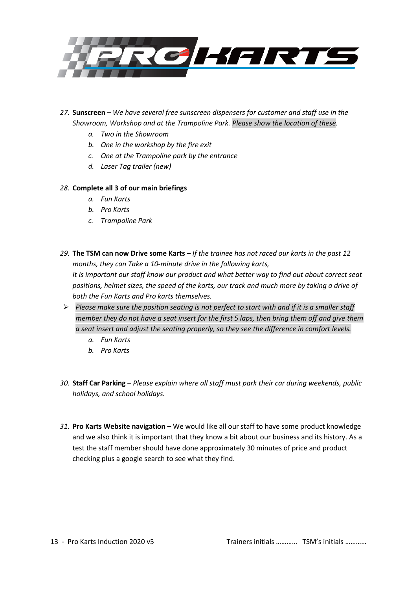

- *27.* **Sunscreen –** *We have several free sunscreen dispensers for customer and staff use in the Showroom, Workshop and at the Trampoline Park. Please show the location of these.* 
	- *a. Two in the Showroom*
	- *b. One in the workshop by the fire exit*
	- *c. One at the Trampoline park by the entrance*
	- *d. Laser Tag trailer (new)*

### *28.* **Complete all 3 of our main briefings**

- *a. Fun Karts*
- *b. Pro Karts*
- *c. Trampoline Park*
- *29.* **The TSM can now Drive some Karts –** *If the trainee has not raced our karts in the past 12 months, they can Take a 10-minute drive in the following karts, It is important our staff know our product and what better way to find out about correct seat positions, helmet sizes, the speed of the karts, our track and much more by taking a drive of both the Fun Karts and Pro karts themselves.*
- ➢ *Please make sure the position seating is not perfect to start with and if it is a smaller staff member they do not have a seat insert for the first 5 laps, then bring them off and give them a seat insert and adjust the seating properly, so they see the difference in comfort levels.*
	- *a. Fun Karts*
	- *b. Pro Karts*
- *30.* **Staff Car Parking** *– Please explain where all staff must park their car during weekends, public holidays, and school holidays.*
- *31.* **Pro Karts Website navigation –** We would like all our staff to have some product knowledge and we also think it is important that they know a bit about our business and its history. As a test the staff member should have done approximately 30 minutes of price and product checking plus a google search to see what they find.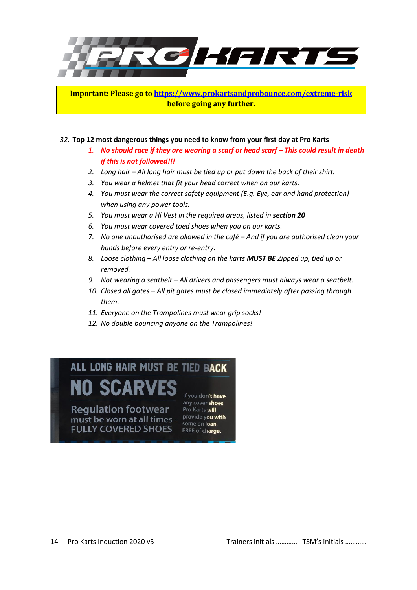

**Important: Please go to<https://www.prokartsandprobounce.com/extreme-risk> before going any further.** 

#### *32.* **Top 12 most dangerous things you need to know from your first day at Pro Karts**

- *1. No should race if they are wearing a scarf or head scarf – This could result in death if this is not followed!!!*
- *2. Long hair – All long hair must be tied up or put down the back of their shirt.*
- *3. You wear a helmet that fit your head correct when on our karts.*
- *4. You must wear the correct safety equipment (E.g. Eye, ear and hand protection) when using any power tools.*
- *5. You must wear a Hi Vest in the required areas, listed in section 20*
- *6. You must wear covered toed shoes when you on our karts.*
- *7. No one unauthorised are allowed in the café – And if you are authorised clean your hands before every entry or re-entry.*
- *8. Loose clothing – All loose clothing on the karts MUST BE Zipped up, tied up or removed.*
- *9. Not wearing a seatbelt – All drivers and passengers must always wear a seatbelt.*
- *10. Closed all gates – All pit gates must be closed immediately after passing through them.*
- *11. Everyone on the Trampolines must wear grip socks!*
- *12. No double bouncing anyone on the Trampolines!*

# ALL LONG HAIR MUST BE TIED BACK

**NO SCARVES Regulation footwear** must be worn at all times - some on loan **FULLY COVERED SHOES** 

If you don't have any cover shoes Pro Karts will some on loan FREE of charge.